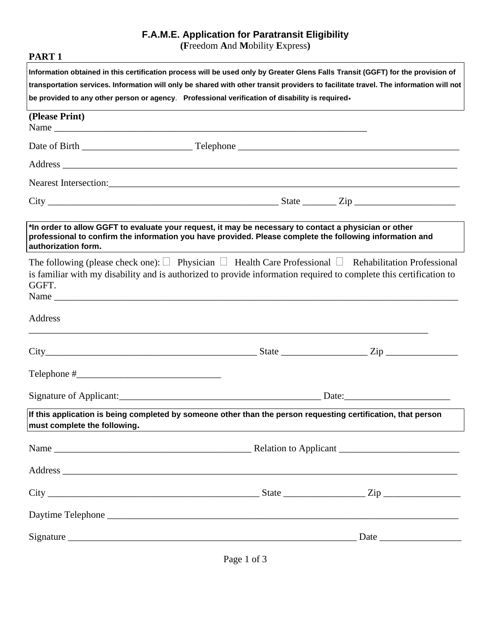## **F.A.M.E. Application for Paratransit Eligibility**

**(F**reedom **A**nd **M**obility **E**xpress**)**

| PART <sub>1</sub>                                                                                                                                                                                                                                                                                                                                                          |  |       |  |  |  |  |
|----------------------------------------------------------------------------------------------------------------------------------------------------------------------------------------------------------------------------------------------------------------------------------------------------------------------------------------------------------------------------|--|-------|--|--|--|--|
| Information obtained in this certification process will be used only by Greater Glens Falls Transit (GGFT) for the provision of<br>transportation services. Information will only be shared with other transit providers to facilitate travel. The information will not<br>be provided to any other person or agency. Professional verification of disability is required- |  |       |  |  |  |  |
| (Please Print)<br>Name                                                                                                                                                                                                                                                                                                                                                     |  |       |  |  |  |  |
|                                                                                                                                                                                                                                                                                                                                                                            |  |       |  |  |  |  |
|                                                                                                                                                                                                                                                                                                                                                                            |  |       |  |  |  |  |
|                                                                                                                                                                                                                                                                                                                                                                            |  |       |  |  |  |  |
| $City$ $\rule{1em}{0.15mm}$ $\rule{1em}{0.15mm}$ $\qquad \qquad \text{State}$ $\rule{1em}{0.15mm}$ $\qquad \qquad \text{Zip}$ $\rule{1em}{0.15mm}$                                                                                                                                                                                                                         |  |       |  |  |  |  |
| *In order to allow GGFT to evaluate your request, it may be necessary to contact a physician or other<br>professional to confirm the information you have provided. Please complete the following information and<br>authorization form.                                                                                                                                   |  |       |  |  |  |  |
| The following (please check one): $\Box$ Physician $\Box$ Health Care Professional $\Box$ Rehabilitation Professional<br>is familiar with my disability and is authorized to provide information required to complete this certification to<br>GGFT.<br>Name                                                                                                               |  |       |  |  |  |  |
| Address                                                                                                                                                                                                                                                                                                                                                                    |  |       |  |  |  |  |
| $City$ $City$ $Zip$ $Zip$                                                                                                                                                                                                                                                                                                                                                  |  |       |  |  |  |  |
|                                                                                                                                                                                                                                                                                                                                                                            |  |       |  |  |  |  |
|                                                                                                                                                                                                                                                                                                                                                                            |  | Date: |  |  |  |  |
| If this application is being completed by someone other than the person requesting certification, that person<br>must complete the following.                                                                                                                                                                                                                              |  |       |  |  |  |  |
|                                                                                                                                                                                                                                                                                                                                                                            |  |       |  |  |  |  |
|                                                                                                                                                                                                                                                                                                                                                                            |  |       |  |  |  |  |
|                                                                                                                                                                                                                                                                                                                                                                            |  |       |  |  |  |  |
|                                                                                                                                                                                                                                                                                                                                                                            |  |       |  |  |  |  |
|                                                                                                                                                                                                                                                                                                                                                                            |  |       |  |  |  |  |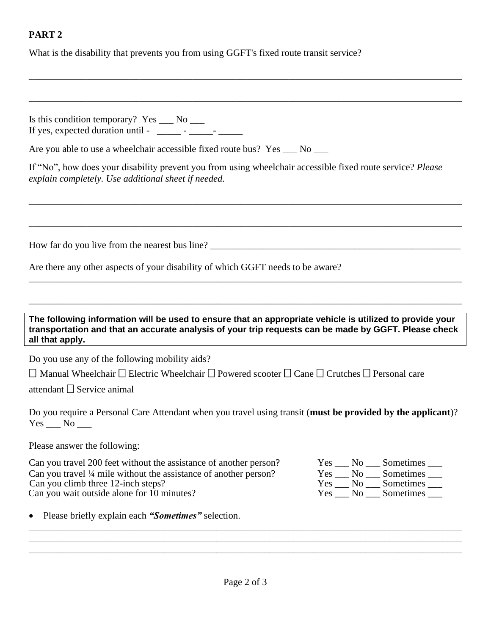## **PART 2**

What is the disability that prevents you from using GGFT's fixed route transit service?

\_\_\_\_\_\_\_\_\_\_\_\_\_\_\_\_\_\_\_\_\_\_\_\_\_\_\_\_\_\_\_\_\_\_\_\_\_\_\_\_\_\_\_\_\_\_\_\_\_\_\_\_\_\_\_\_\_\_\_\_\_\_\_\_\_\_\_\_\_\_\_\_\_\_\_\_\_\_\_\_\_\_\_\_\_\_\_\_\_\_ Is this condition temporary? Yes No If yes, expected duration until -  $\qquad \qquad$  -  $\qquad$  -  $\qquad$ Are you able to use a wheelchair accessible fixed route bus? Yes  $\_\_\_$  No  $\_\_\_\$ If "No", how does your disability prevent you from using wheelchair accessible fixed route service? *Please explain completely. Use additional sheet if needed.* \_\_\_\_\_\_\_\_\_\_\_\_\_\_\_\_\_\_\_\_\_\_\_\_\_\_\_\_\_\_\_\_\_\_\_\_\_\_\_\_\_\_\_\_\_\_\_\_\_\_\_\_\_\_\_\_\_\_\_\_\_\_\_\_\_\_\_\_\_\_\_\_\_\_\_\_\_\_\_\_\_\_\_\_\_\_\_\_\_\_ \_\_\_\_\_\_\_\_\_\_\_\_\_\_\_\_\_\_\_\_\_\_\_\_\_\_\_\_\_\_\_\_\_\_\_\_\_\_\_\_\_\_\_\_\_\_\_\_\_\_\_\_\_\_\_\_\_\_\_\_\_\_\_\_\_\_\_\_\_\_\_\_\_\_\_\_\_\_\_\_\_\_\_\_\_\_\_\_\_\_ How far do you live from the nearest bus line? \_\_\_\_\_\_\_\_\_\_\_\_\_\_\_\_\_\_\_\_\_\_\_\_\_\_\_\_\_\_\_\_\_\_\_\_\_\_\_\_\_\_\_\_\_\_\_\_\_\_\_\_ Are there any other aspects of your disability of which GGFT needs to be aware? \_\_\_\_\_\_\_\_\_\_\_\_\_\_\_\_\_\_\_\_\_\_\_\_\_\_\_\_\_\_\_\_\_\_\_\_\_\_\_\_\_\_\_\_\_\_\_\_\_\_\_\_\_\_\_\_\_\_\_\_\_\_\_\_\_\_\_\_\_\_\_\_\_\_\_\_\_\_\_\_\_\_\_\_\_\_\_\_\_\_ \_\_\_\_\_\_\_\_\_\_\_\_\_\_\_\_\_\_\_\_\_\_\_\_\_\_\_\_\_\_\_\_\_\_\_\_\_\_\_\_\_\_\_\_\_\_\_\_\_\_\_\_\_\_\_\_\_\_\_\_\_\_\_\_\_\_\_\_\_\_\_\_\_\_\_\_\_\_\_\_\_\_\_\_\_\_\_\_\_\_ **The following information will be used to ensure that an appropriate vehicle is utilized to provide your transportation and that an accurate analysis of your trip requests can be made by GGFT. Please check all that apply.** Do you use any of the following mobility aids?  $\Box$  Manual Wheelchair  $\Box$  Electric Wheelchair  $\Box$  Powered scooter  $\Box$  Cane  $\Box$  Crutches  $\Box$  Personal care attendant  $\Box$  Service animal Do you require a Personal Care Attendant when you travel using transit (**must be provided by the applicant**)?  $Yes$   $No$   $\_\_$ Please answer the following: Can you travel 200 feet without the assistance of another person?  $Yes \_ No \_ Sonetimes \_ Con$ <br>Can you travel ¼ mile without the assistance of another person?  $Yes \_ No \_ Sonetimes \_$ Can you travel  $\frac{1}{4}$  mile without the assistance of another person?<br>Can you climb three 12-inch steps?  $Yes \_\_No \_\_S$  Sometimes  $\frac{1}{\_\_S}$ Can you wait outside alone for 10 minutes? Yes No Sometimes No Sometimes No Sometimes

\_\_\_\_\_\_\_\_\_\_\_\_\_\_\_\_\_\_\_\_\_\_\_\_\_\_\_\_\_\_\_\_\_\_\_\_\_\_\_\_\_\_\_\_\_\_\_\_\_\_\_\_\_\_\_\_\_\_\_\_\_\_\_\_\_\_\_\_\_\_\_\_\_\_\_\_\_\_\_\_\_\_\_\_\_\_\_\_\_\_

• Please briefly explain each *"Sometimes"* selection.

\_\_\_\_\_\_\_\_\_\_\_\_\_\_\_\_\_\_\_\_\_\_\_\_\_\_\_\_\_\_\_\_\_\_\_\_\_\_\_\_\_\_\_\_\_\_\_\_\_\_\_\_\_\_\_\_\_\_\_\_\_\_\_\_\_\_\_\_\_\_\_\_\_\_\_\_\_\_\_\_\_\_\_\_\_\_\_\_\_\_ \_\_\_\_\_\_\_\_\_\_\_\_\_\_\_\_\_\_\_\_\_\_\_\_\_\_\_\_\_\_\_\_\_\_\_\_\_\_\_\_\_\_\_\_\_\_\_\_\_\_\_\_\_\_\_\_\_\_\_\_\_\_\_\_\_\_\_\_\_\_\_\_\_\_\_\_\_\_\_\_\_\_\_\_\_\_\_\_\_\_ \_\_\_\_\_\_\_\_\_\_\_\_\_\_\_\_\_\_\_\_\_\_\_\_\_\_\_\_\_\_\_\_\_\_\_\_\_\_\_\_\_\_\_\_\_\_\_\_\_\_\_\_\_\_\_\_\_\_\_\_\_\_\_\_\_\_\_\_\_\_\_\_\_\_\_\_\_\_\_\_\_\_\_\_\_\_\_\_\_\_